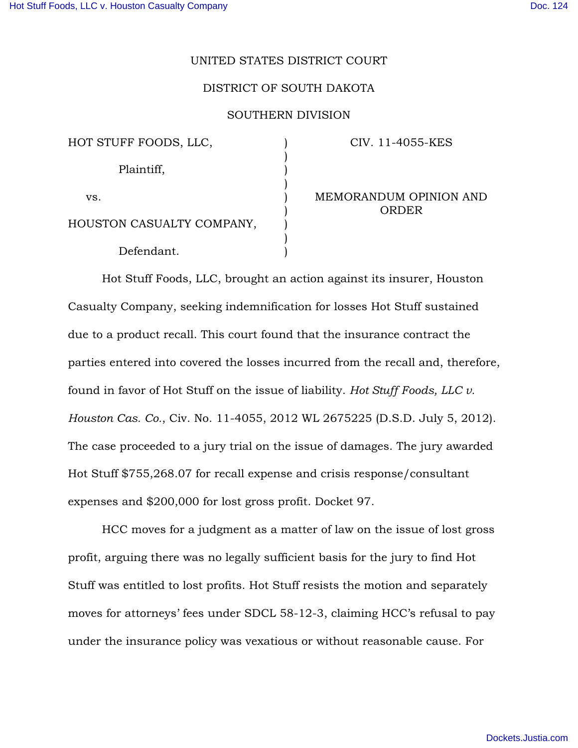#### UNITED STATES DISTRICT COURT

# DISTRICT OF SOUTH DAKOTA

#### SOUTHERN DIVISION

| HOT STUFF FOODS, LLC,     |  |
|---------------------------|--|
| Plaintiff,                |  |
| VS.                       |  |
| HOUSTON CASUALTY COMPANY, |  |
| Defendant.                |  |

# CIV. 11-4055-KES

MEMORANDUM OPINION AND ORDER

Hot Stuff Foods, LLC, brought an action against its insurer, Houston Casualty Company, seeking indemnification for losses Hot Stuff sustained due to a product recall. This court found that the insurance contract the parties entered into covered the losses incurred from the recall and, therefore, found in favor of Hot Stuff on the issue of liability. *Hot Stuff Foods, LLC v. Houston Cas. Co.*, Civ. No. 11-4055, 2012 WL 2675225 (D.S.D. July 5, 2012). The case proceeded to a jury trial on the issue of damages. The jury awarded Hot Stuff \$755,268.07 for recall expense and crisis response/consultant expenses and \$200,000 for lost gross profit. Docket 97.

HCC moves for a judgment as a matter of law on the issue of lost gross profit, arguing there was no legally sufficient basis for the jury to find Hot Stuff was entitled to lost profits. Hot Stuff resists the motion and separately moves for attorneys' fees under SDCL 58-12-3, claiming HCC's refusal to pay under the insurance policy was vexatious or without reasonable cause. For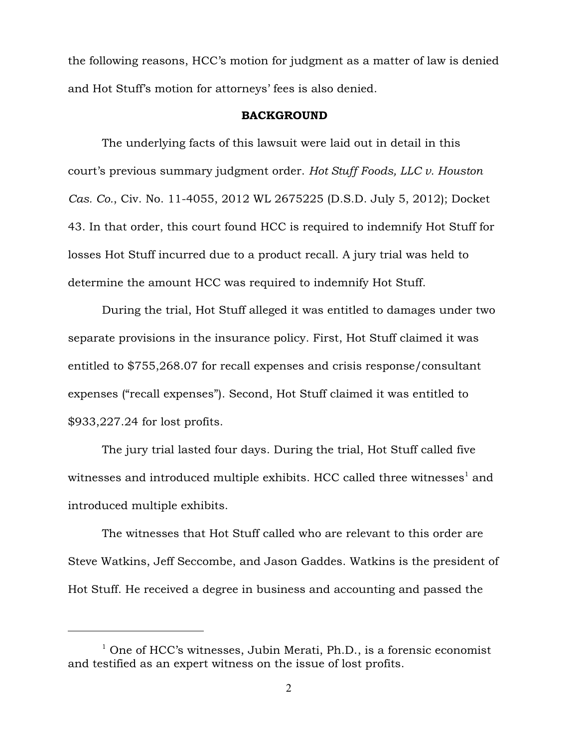the following reasons, HCC's motion for judgment as a matter of law is denied and Hot Stuff's motion for attorneys' fees is also denied.

# BACKGROUND

The underlying facts of this lawsuit were laid out in detail in this court's previous summary judgment order. *Hot Stuff Foods, LLC v. Houston Cas. Co.*, Civ. No. 11-4055, 2012 WL 2675225 (D.S.D. July 5, 2012); Docket 43. In that order, this court found HCC is required to indemnify Hot Stuff for losses Hot Stuff incurred due to a product recall. A jury trial was held to determine the amount HCC was required to indemnify Hot Stuff.

During the trial, Hot Stuff alleged it was entitled to damages under two separate provisions in the insurance policy. First, Hot Stuff claimed it was entitled to \$755,268.07 for recall expenses and crisis response/consultant expenses ("recall expenses"). Second, Hot Stuff claimed it was entitled to \$933,227.24 for lost profits.

The jury trial lasted four days. During the trial, Hot Stuff called five witnesses and introduced multiple exhibits. HCC called three witnesses<sup>1</sup> and introduced multiple exhibits.

The witnesses that Hot Stuff called who are relevant to this order are Steve Watkins, Jeff Seccombe, and Jason Gaddes. Watkins is the president of Hot Stuff. He received a degree in business and accounting and passed the

 $1$  One of HCC's witnesses, Jubin Merati, Ph.D., is a forensic economist and testified as an expert witness on the issue of lost profits.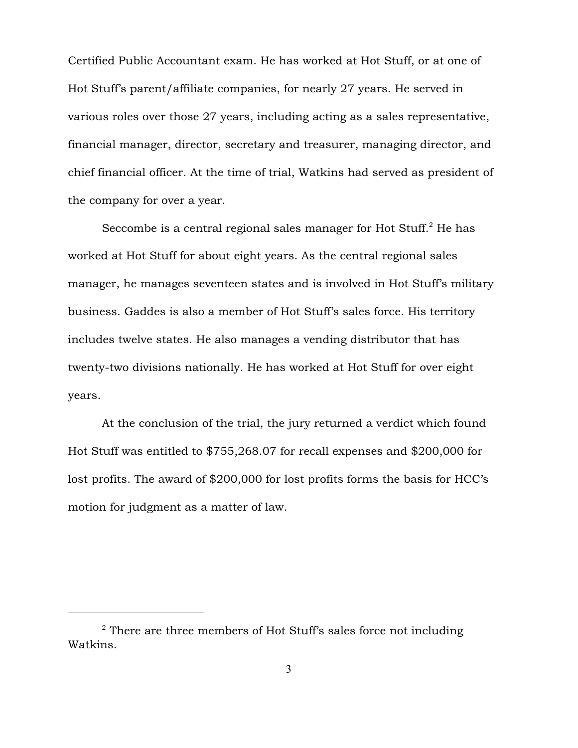Certified Public Accountant exam. He has worked at Hot Stuff, or at one of Hot Stuff's parent/affiliate companies, for nearly 27 years. He served in various roles over those 27 years, including acting as a sales representative, financial manager, director, secretary and treasurer, managing director, and chief financial officer. At the time of trial, Watkins had served as president of the company for over a year.

Seccombe is a central regional sales manager for Hot Stuff. $^2$  He has worked at Hot Stuff for about eight years. As the central regional sales manager, he manages seventeen states and is involved in Hot Stuff's military business. Gaddes is also a member of Hot Stuff's sales force. His territory includes twelve states. He also manages a vending distributor that has twenty-two divisions nationally. He has worked at Hot Stuff for over eight years.

At the conclusion of the trial, the jury returned a verdict which found Hot Stuff was entitled to \$755,268.07 for recall expenses and \$200,000 for lost profits. The award of \$200,000 for lost profits forms the basis for HCC's motion for judgment as a matter of law.

 $2$  There are three members of Hot Stuff's sales force not including Watkins.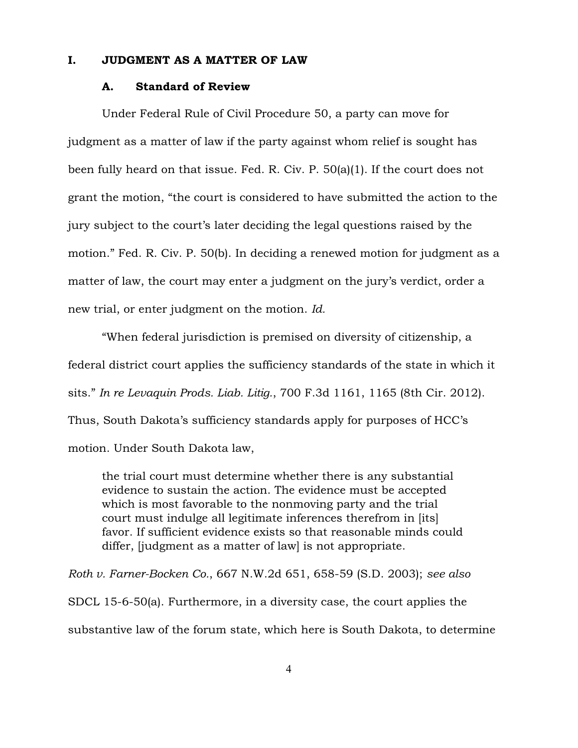# I. JUDGMENT AS A MATTER OF LAW

#### A. Standard of Review

Under Federal Rule of Civil Procedure 50, a party can move for judgment as a matter of law if the party against whom relief is sought has been fully heard on that issue. Fed. R. Civ. P. 50(a)(1). If the court does not grant the motion, "the court is considered to have submitted the action to the jury subject to the court's later deciding the legal questions raised by the motion." Fed. R. Civ. P. 50(b). In deciding a renewed motion for judgment as a matter of law, the court may enter a judgment on the jury's verdict, order a new trial, or enter judgment on the motion. *Id.*

"When federal jurisdiction is premised on diversity of citizenship, a federal district court applies the sufficiency standards of the state in which it sits." *In re Levaquin Prods. Liab. Litig.*, 700 F.3d 1161, 1165 (8th Cir. 2012). Thus, South Dakota's sufficiency standards apply for purposes of HCC's motion. Under South Dakota law,

the trial court must determine whether there is any substantial evidence to sustain the action. The evidence must be accepted which is most favorable to the nonmoving party and the trial court must indulge all legitimate inferences therefrom in [its] favor. If sufficient evidence exists so that reasonable minds could differ, *[judgment as a matter of law]* is not appropriate.

*Roth v. Farner-Bocken Co.*, 667 N.W.2d 651, 658-59 (S.D. 2003); *see also* SDCL 15-6-50(a). Furthermore, in a diversity case, the court applies the substantive law of the forum state, which here is South Dakota, to determine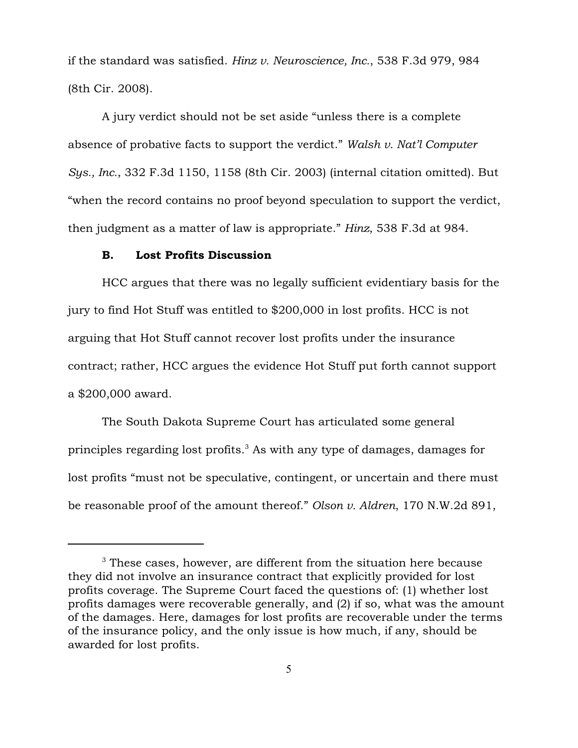if the standard was satisfied. *Hinz v. Neuroscience, Inc.*, 538 F.3d 979, 984 (8th Cir. 2008).

A jury verdict should not be set aside "unless there is a complete absence of probative facts to support the verdict." *Walsh v. Nat'l Computer Sys., Inc.*, 332 F.3d 1150, 1158 (8th Cir. 2003) (internal citation omitted). But "when the record contains no proof beyond speculation to support the verdict, then judgment as a matter of law is appropriate." *Hinz*, 538 F.3d at 984.

# B. Lost Profits Discussion

HCC argues that there was no legally sufficient evidentiary basis for the jury to find Hot Stuff was entitled to \$200,000 in lost profits. HCC is not arguing that Hot Stuff cannot recover lost profits under the insurance contract; rather, HCC argues the evidence Hot Stuff put forth cannot support a \$200,000 award.

The South Dakota Supreme Court has articulated some general principles regarding lost profits.<sup>3</sup> As with any type of damages, damages for lost profits "must not be speculative, contingent, or uncertain and there must be reasonable proof of the amount thereof." *Olson v. Aldren*, 170 N.W.2d 891,

 $3$  These cases, however, are different from the situation here because they did not involve an insurance contract that explicitly provided for lost profits coverage. The Supreme Court faced the questions of: (1) whether lost profits damages were recoverable generally, and (2) if so, what was the amount of the damages. Here, damages for lost profits are recoverable under the terms of the insurance policy, and the only issue is how much, if any, should be awarded for lost profits.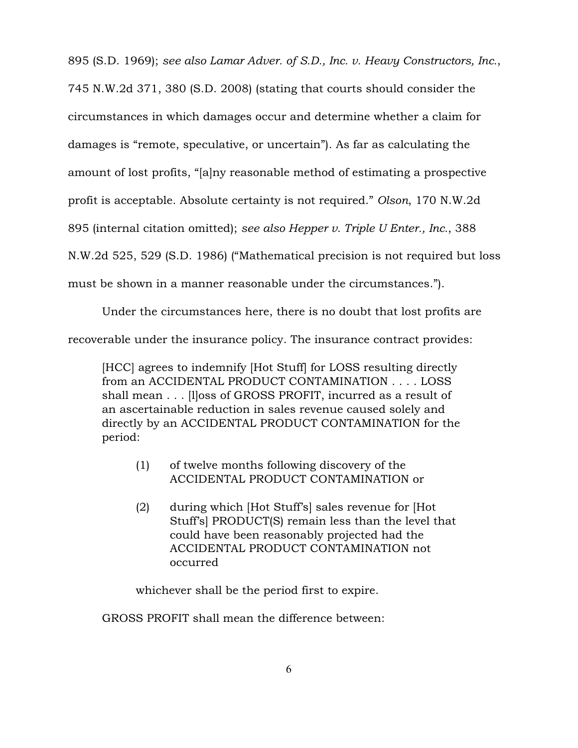895 (S.D. 1969); *see also Lamar Adver. of S.D., Inc. v. Heavy Constructors, Inc.*, 745 N.W.2d 371, 380 (S.D. 2008) (stating that courts should consider the circumstances in which damages occur and determine whether a claim for damages is "remote, speculative, or uncertain"). As far as calculating the amount of lost profits, "[a]ny reasonable method of estimating a prospective profit is acceptable. Absolute certainty is not required." *Olson*, 170 N.W.2d 895 (internal citation omitted); *see also Hepper v. Triple U Enter., Inc.*, 388 N.W.2d 525, 529 (S.D. 1986) ("Mathematical precision is not required but loss must be shown in a manner reasonable under the circumstances.").

Under the circumstances here, there is no doubt that lost profits are recoverable under the insurance policy. The insurance contract provides:

[HCC] agrees to indemnify [Hot Stuff] for LOSS resulting directly from an ACCIDENTAL PRODUCT CONTAMINATION . . . . LOSS shall mean . . . [l]oss of GROSS PROFIT, incurred as a result of an ascertainable reduction in sales revenue caused solely and directly by an ACCIDENTAL PRODUCT CONTAMINATION for the period:

- (1) of twelve months following discovery of the ACCIDENTAL PRODUCT CONTAMINATION or
- (2) during which [Hot Stuff's] sales revenue for [Hot Stuff's] PRODUCT(S) remain less than the level that could have been reasonably projected had the ACCIDENTAL PRODUCT CONTAMINATION not occurred

whichever shall be the period first to expire.

GROSS PROFIT shall mean the difference between: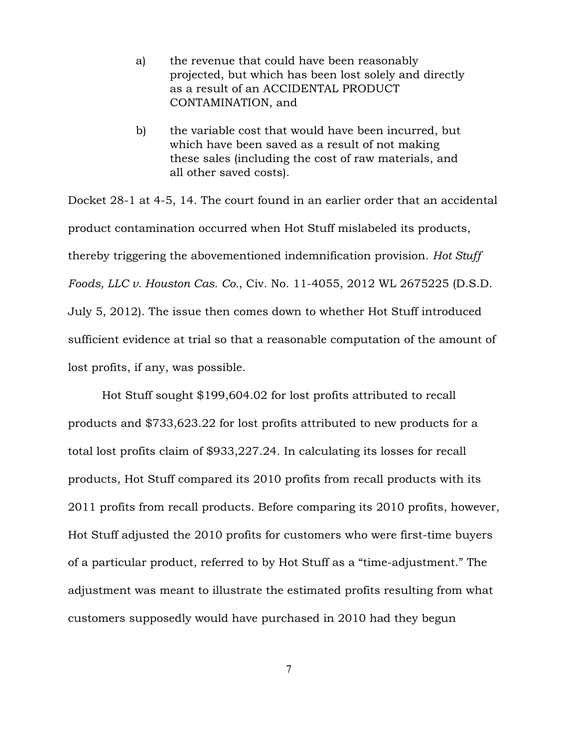- a) the revenue that could have been reasonably projected, but which has been lost solely and directly as a result of an ACCIDENTAL PRODUCT CONTAMINATION, and
- b) the variable cost that would have been incurred, but which have been saved as a result of not making these sales (including the cost of raw materials, and all other saved costs).

Docket 28-1 at 4-5, 14. The court found in an earlier order that an accidental product contamination occurred when Hot Stuff mislabeled its products, thereby triggering the abovementioned indemnification provision. *Hot Stuff Foods, LLC v. Houston Cas. Co.*, Civ. No. 11-4055, 2012 WL 2675225 (D.S.D. July 5, 2012). The issue then comes down to whether Hot Stuff introduced sufficient evidence at trial so that a reasonable computation of the amount of lost profits, if any, was possible.

Hot Stuff sought \$199,604.02 for lost profits attributed to recall products and \$733,623.22 for lost profits attributed to new products for a total lost profits claim of \$933,227.24. In calculating its losses for recall products, Hot Stuff compared its 2010 profits from recall products with its 2011 profits from recall products. Before comparing its 2010 profits, however, Hot Stuff adjusted the 2010 profits for customers who were first-time buyers of a particular product, referred to by Hot Stuff as a "time-adjustment." The adjustment was meant to illustrate the estimated profits resulting from what customers supposedly would have purchased in 2010 had they begun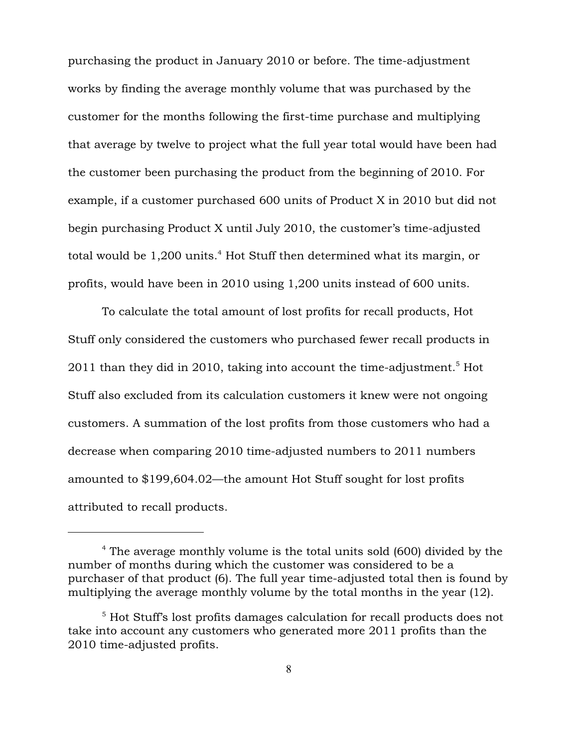purchasing the product in January 2010 or before. The time-adjustment works by finding the average monthly volume that was purchased by the customer for the months following the first-time purchase and multiplying that average by twelve to project what the full year total would have been had the customer been purchasing the product from the beginning of 2010. For example, if a customer purchased 600 units of Product X in 2010 but did not begin purchasing Product X until July 2010, the customer's time-adjusted total would be  $1,200$  units.<sup>4</sup> Hot Stuff then determined what its margin, or profits, would have been in 2010 using 1,200 units instead of 600 units.

To calculate the total amount of lost profits for recall products, Hot Stuff only considered the customers who purchased fewer recall products in 2011 than they did in 2010, taking into account the time-adjustment.<sup>5</sup> Hot Stuff also excluded from its calculation customers it knew were not ongoing customers. A summation of the lost profits from those customers who had a decrease when comparing 2010 time-adjusted numbers to 2011 numbers amounted to \$199,604.02—the amount Hot Stuff sought for lost profits attributed to recall products.

 $4$  The average monthly volume is the total units sold (600) divided by the number of months during which the customer was considered to be a purchaser of that product (6). The full year time-adjusted total then is found by multiplying the average monthly volume by the total months in the year (12).

 $5$  Hot Stuff's lost profits damages calculation for recall products does not take into account any customers who generated more 2011 profits than the 2010 time-adjusted profits.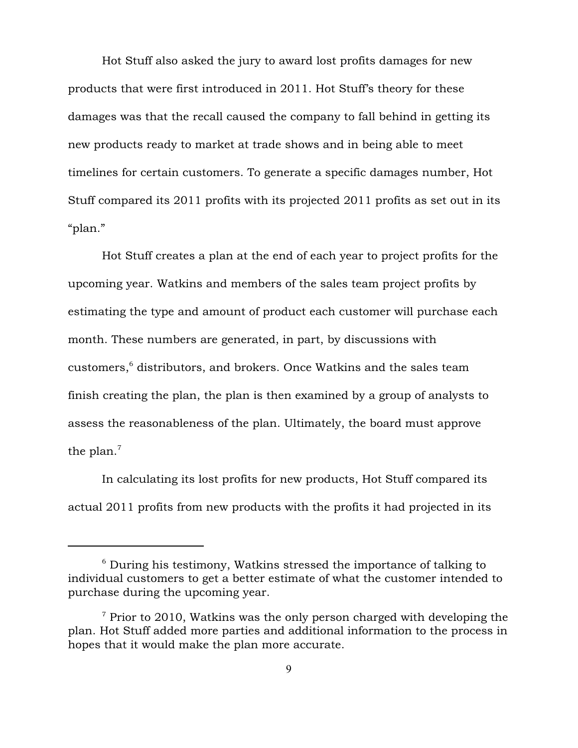Hot Stuff also asked the jury to award lost profits damages for new products that were first introduced in 2011. Hot Stuff's theory for these damages was that the recall caused the company to fall behind in getting its new products ready to market at trade shows and in being able to meet timelines for certain customers. To generate a specific damages number, Hot Stuff compared its 2011 profits with its projected 2011 profits as set out in its "plan."

Hot Stuff creates a plan at the end of each year to project profits for the upcoming year. Watkins and members of the sales team project profits by estimating the type and amount of product each customer will purchase each month. These numbers are generated, in part, by discussions with  $\rm{customers},^6$  distributors, and brokers. Once Watkins and the sales team finish creating the plan, the plan is then examined by a group of analysts to assess the reasonableness of the plan. Ultimately, the board must approve the plan. $<sup>7</sup>$ </sup>

In calculating its lost profits for new products, Hot Stuff compared its actual 2011 profits from new products with the profits it had projected in its

 $\delta$  During his testimony, Watkins stressed the importance of talking to individual customers to get a better estimate of what the customer intended to purchase during the upcoming year.

 $\frac{7}{7}$  Prior to 2010, Watkins was the only person charged with developing the plan. Hot Stuff added more parties and additional information to the process in hopes that it would make the plan more accurate.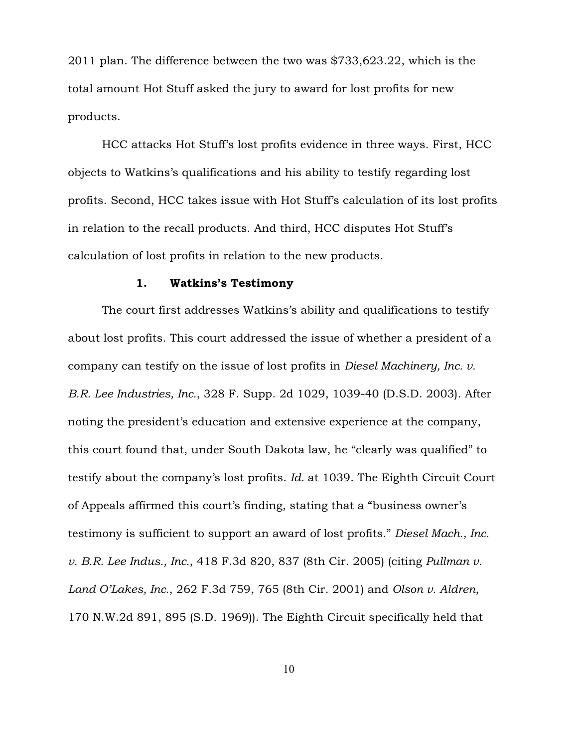2011 plan. The difference between the two was \$733,623.22, which is the total amount Hot Stuff asked the jury to award for lost profits for new products.

HCC attacks Hot Stuff's lost profits evidence in three ways. First, HCC objects to Watkins's qualifications and his ability to testify regarding lost profits. Second, HCC takes issue with Hot Stuff's calculation of its lost profits in relation to the recall products. And third, HCC disputes Hot Stuff's calculation of lost profits in relation to the new products.

#### 1. Watkins's Testimony

The court first addresses Watkins's ability and qualifications to testify about lost profits. This court addressed the issue of whether a president of a company can testify on the issue of lost profits in *Diesel Machinery, Inc. v. B.R. Lee Industries, Inc.*, 328 F. Supp. 2d 1029, 1039-40 (D.S.D. 2003). After noting the president's education and extensive experience at the company, this court found that, under South Dakota law, he "clearly was qualified" to testify about the company's lost profits. *Id.* at 1039. The Eighth Circuit Court of Appeals affirmed this court's finding, stating that a "business owner's testimony is sufficient to support an award of lost profits." *Diesel Mach., Inc. v. B.R. Lee Indus., Inc.*, 418 F.3d 820, 837 (8th Cir. 2005) (citing *Pullman v. Land O'Lakes, Inc.*, 262 F.3d 759, 765 (8th Cir. 2001) and *Olson v. Aldren*, 170 N.W.2d 891, 895 (S.D. 1969)). The Eighth Circuit specifically held that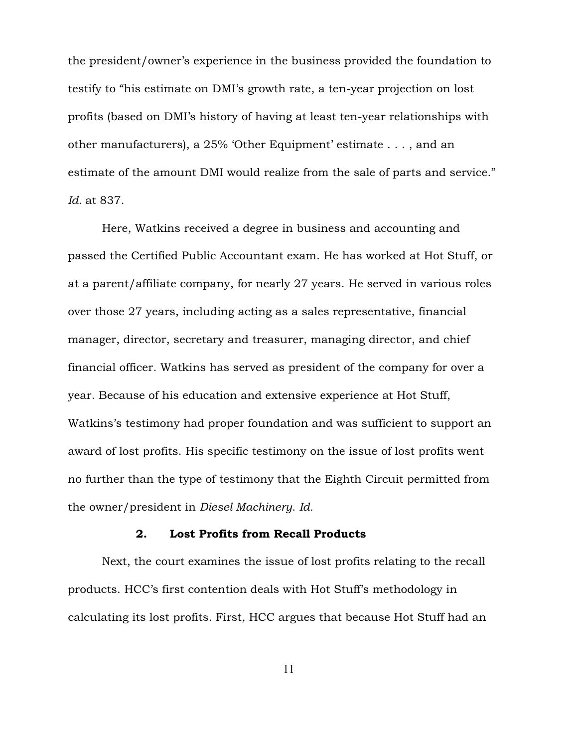the president/owner's experience in the business provided the foundation to testify to "his estimate on DMI's growth rate, a ten-year projection on lost profits (based on DMI's history of having at least ten-year relationships with other manufacturers), a 25% 'Other Equipment' estimate . . . , and an estimate of the amount DMI would realize from the sale of parts and service." *Id.* at 837.

Here, Watkins received a degree in business and accounting and passed the Certified Public Accountant exam. He has worked at Hot Stuff, or at a parent/affiliate company, for nearly 27 years. He served in various roles over those 27 years, including acting as a sales representative, financial manager, director, secretary and treasurer, managing director, and chief financial officer. Watkins has served as president of the company for over a year. Because of his education and extensive experience at Hot Stuff, Watkins's testimony had proper foundation and was sufficient to support an award of lost profits. His specific testimony on the issue of lost profits went no further than the type of testimony that the Eighth Circuit permitted from the owner/president in *Diesel Machinery*. *Id.* 

#### 2. Lost Profits from Recall Products

Next, the court examines the issue of lost profits relating to the recall products. HCC's first contention deals with Hot Stuff's methodology in calculating its lost profits. First, HCC argues that because Hot Stuff had an

11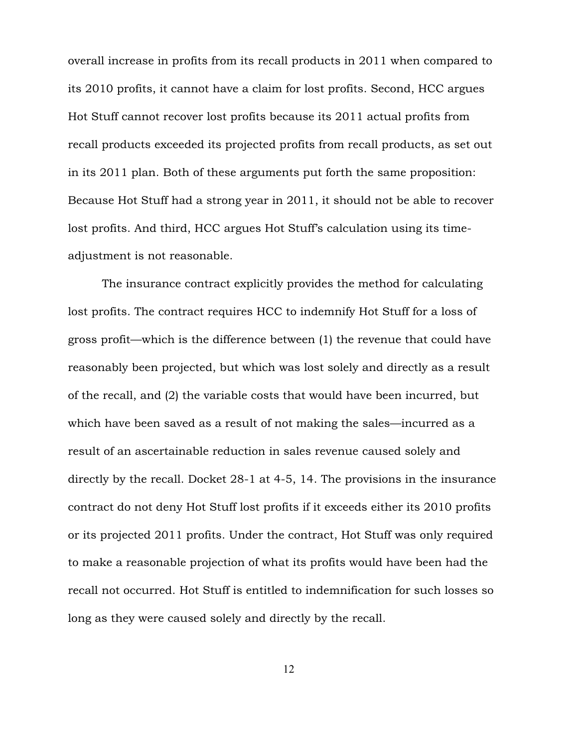overall increase in profits from its recall products in 2011 when compared to its 2010 profits, it cannot have a claim for lost profits. Second, HCC argues Hot Stuff cannot recover lost profits because its 2011 actual profits from recall products exceeded its projected profits from recall products, as set out in its 2011 plan. Both of these arguments put forth the same proposition: Because Hot Stuff had a strong year in 2011, it should not be able to recover lost profits. And third, HCC argues Hot Stuff's calculation using its timeadjustment is not reasonable.

The insurance contract explicitly provides the method for calculating lost profits. The contract requires HCC to indemnify Hot Stuff for a loss of gross profit—which is the difference between (1) the revenue that could have reasonably been projected, but which was lost solely and directly as a result of the recall, and (2) the variable costs that would have been incurred, but which have been saved as a result of not making the sales—incurred as a result of an ascertainable reduction in sales revenue caused solely and directly by the recall. Docket 28-1 at 4-5, 14. The provisions in the insurance contract do not deny Hot Stuff lost profits if it exceeds either its 2010 profits or its projected 2011 profits. Under the contract, Hot Stuff was only required to make a reasonable projection of what its profits would have been had the recall not occurred. Hot Stuff is entitled to indemnification for such losses so long as they were caused solely and directly by the recall.

12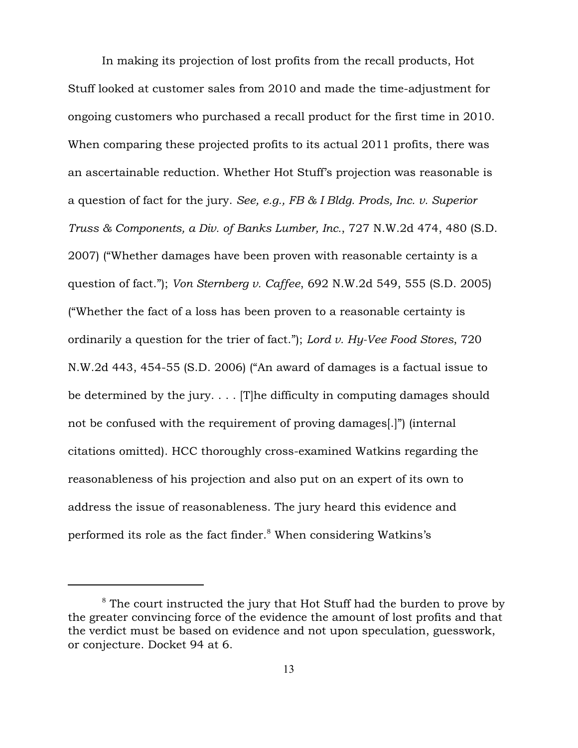In making its projection of lost profits from the recall products, Hot Stuff looked at customer sales from 2010 and made the time-adjustment for ongoing customers who purchased a recall product for the first time in 2010. When comparing these projected profits to its actual 2011 profits, there was an ascertainable reduction. Whether Hot Stuff's projection was reasonable is a question of fact for the jury. *See, e.g., FB & I Bldg. Prods, Inc. v. Superior Truss & Components, a Div. of Banks Lumber, Inc.*, 727 N.W.2d 474, 480 (S.D. 2007) ("Whether damages have been proven with reasonable certainty is a question of fact."); *Von Sternberg v. Caffee*, 692 N.W.2d 549, 555 (S.D. 2005) ("Whether the fact of a loss has been proven to a reasonable certainty is ordinarily a question for the trier of fact."); *Lord v. Hy-Vee Food Stores*, 720 N.W.2d 443, 454-55 (S.D. 2006) ("An award of damages is a factual issue to be determined by the jury.  $\ldots$  [T]he difficulty in computing damages should not be confused with the requirement of proving damages[.]") (internal citations omitted). HCC thoroughly cross-examined Watkins regarding the reasonableness of his projection and also put on an expert of its own to address the issue of reasonableness. The jury heard this evidence and performed its role as the fact finder. $8$  When considering Watkins's

 $8$  The court instructed the jury that Hot Stuff had the burden to prove by the greater convincing force of the evidence the amount of lost profits and that the verdict must be based on evidence and not upon speculation, guesswork, or conjecture. Docket 94 at 6.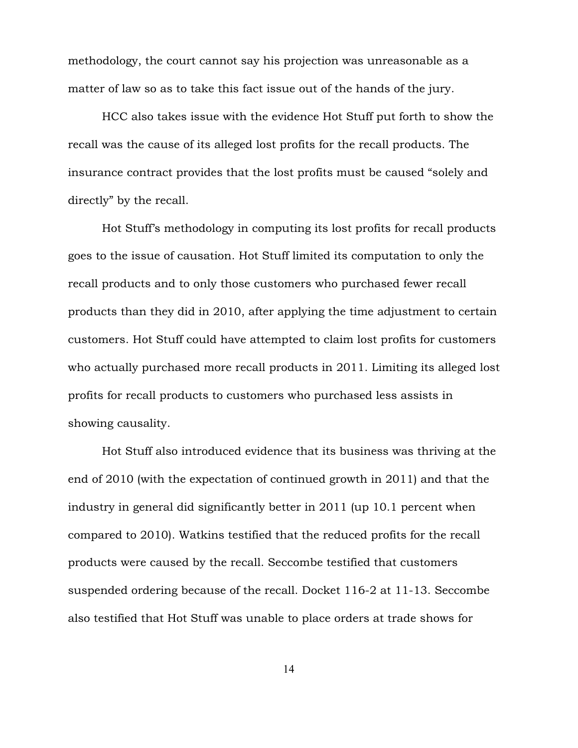methodology, the court cannot say his projection was unreasonable as a matter of law so as to take this fact issue out of the hands of the jury.

HCC also takes issue with the evidence Hot Stuff put forth to show the recall was the cause of its alleged lost profits for the recall products. The insurance contract provides that the lost profits must be caused "solely and directly" by the recall.

Hot Stuff's methodology in computing its lost profits for recall products goes to the issue of causation. Hot Stuff limited its computation to only the recall products and to only those customers who purchased fewer recall products than they did in 2010, after applying the time adjustment to certain customers. Hot Stuff could have attempted to claim lost profits for customers who actually purchased more recall products in 2011. Limiting its alleged lost profits for recall products to customers who purchased less assists in showing causality.

Hot Stuff also introduced evidence that its business was thriving at the end of 2010 (with the expectation of continued growth in 2011) and that the industry in general did significantly better in 2011 (up 10.1 percent when compared to 2010). Watkins testified that the reduced profits for the recall products were caused by the recall. Seccombe testified that customers suspended ordering because of the recall. Docket 116-2 at 11-13. Seccombe also testified that Hot Stuff was unable to place orders at trade shows for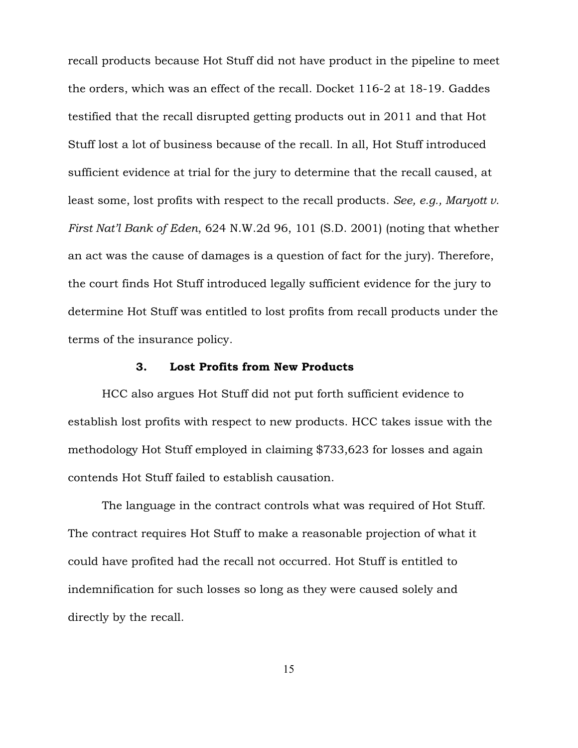recall products because Hot Stuff did not have product in the pipeline to meet the orders, which was an effect of the recall. Docket 116-2 at 18-19. Gaddes testified that the recall disrupted getting products out in 2011 and that Hot Stuff lost a lot of business because of the recall. In all, Hot Stuff introduced sufficient evidence at trial for the jury to determine that the recall caused, at least some, lost profits with respect to the recall products. *See, e.g., Maryott v. First Nat'l Bank of Eden*, 624 N.W.2d 96, 101 (S.D. 2001) (noting that whether an act was the cause of damages is a question of fact for the jury). Therefore, the court finds Hot Stuff introduced legally sufficient evidence for the jury to determine Hot Stuff was entitled to lost profits from recall products under the terms of the insurance policy.

# 3. Lost Profits from New Products

HCC also argues Hot Stuff did not put forth sufficient evidence to establish lost profits with respect to new products. HCC takes issue with the methodology Hot Stuff employed in claiming \$733,623 for losses and again contends Hot Stuff failed to establish causation.

The language in the contract controls what was required of Hot Stuff. The contract requires Hot Stuff to make a reasonable projection of what it could have profited had the recall not occurred. Hot Stuff is entitled to indemnification for such losses so long as they were caused solely and directly by the recall.

15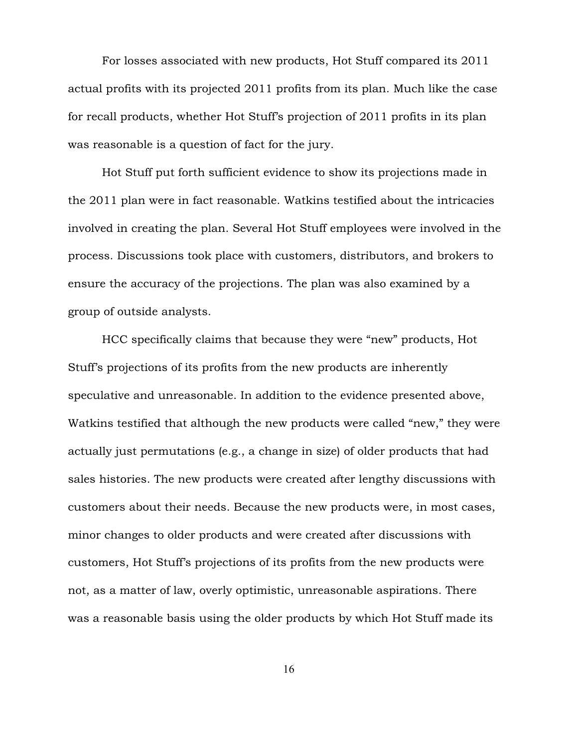For losses associated with new products, Hot Stuff compared its 2011 actual profits with its projected 2011 profits from its plan. Much like the case for recall products, whether Hot Stuff's projection of 2011 profits in its plan was reasonable is a question of fact for the jury.

Hot Stuff put forth sufficient evidence to show its projections made in the 2011 plan were in fact reasonable. Watkins testified about the intricacies involved in creating the plan. Several Hot Stuff employees were involved in the process. Discussions took place with customers, distributors, and brokers to ensure the accuracy of the projections. The plan was also examined by a group of outside analysts.

HCC specifically claims that because they were "new" products, Hot Stuff's projections of its profits from the new products are inherently speculative and unreasonable. In addition to the evidence presented above, Watkins testified that although the new products were called "new," they were actually just permutations (e.g., a change in size) of older products that had sales histories. The new products were created after lengthy discussions with customers about their needs. Because the new products were, in most cases, minor changes to older products and were created after discussions with customers, Hot Stuff's projections of its profits from the new products were not, as a matter of law, overly optimistic, unreasonable aspirations. There was a reasonable basis using the older products by which Hot Stuff made its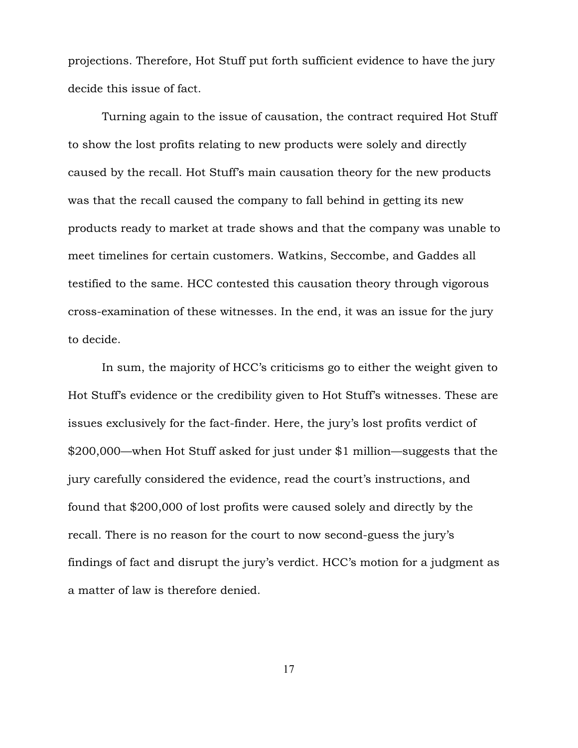projections. Therefore, Hot Stuff put forth sufficient evidence to have the jury decide this issue of fact.

Turning again to the issue of causation, the contract required Hot Stuff to show the lost profits relating to new products were solely and directly caused by the recall. Hot Stuff's main causation theory for the new products was that the recall caused the company to fall behind in getting its new products ready to market at trade shows and that the company was unable to meet timelines for certain customers. Watkins, Seccombe, and Gaddes all testified to the same. HCC contested this causation theory through vigorous cross-examination of these witnesses. In the end, it was an issue for the jury to decide.

In sum, the majority of HCC's criticisms go to either the weight given to Hot Stuff's evidence or the credibility given to Hot Stuff's witnesses. These are issues exclusively for the fact-finder. Here, the jury's lost profits verdict of \$200,000—when Hot Stuff asked for just under \$1 million—suggests that the jury carefully considered the evidence, read the court's instructions, and found that \$200,000 of lost profits were caused solely and directly by the recall. There is no reason for the court to now second-guess the jury's findings of fact and disrupt the jury's verdict. HCC's motion for a judgment as a matter of law is therefore denied.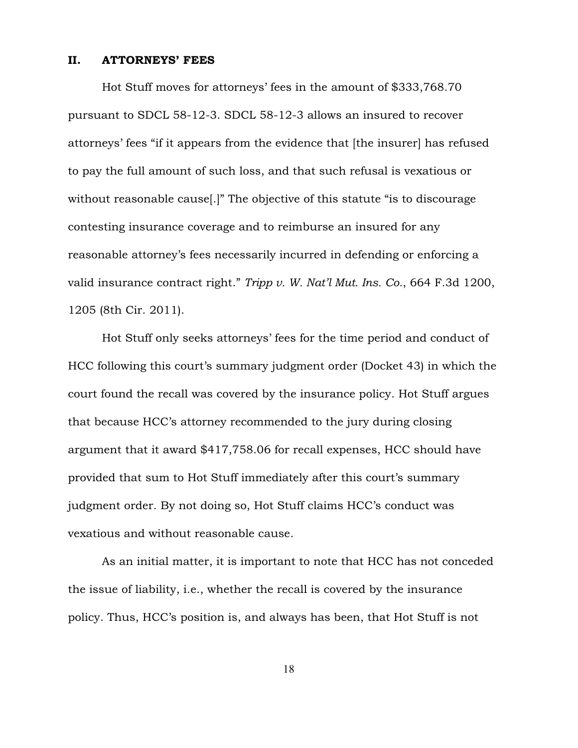# II. ATTORNEYS' FEES

Hot Stuff moves for attorneys' fees in the amount of \$333,768.70 pursuant to SDCL 58-12-3. SDCL 58-12-3 allows an insured to recover attorneys' fees "if it appears from the evidence that [the insurer] has refused to pay the full amount of such loss, and that such refusal is vexatious or without reasonable cause[.]" The objective of this statute "is to discourage contesting insurance coverage and to reimburse an insured for any reasonable attorney's fees necessarily incurred in defending or enforcing a valid insurance contract right." *Tripp v. W. Nat'l Mut. Ins. Co.*, 664 F.3d 1200, 1205 (8th Cir. 2011).

Hot Stuff only seeks attorneys' fees for the time period and conduct of HCC following this court's summary judgment order (Docket 43) in which the court found the recall was covered by the insurance policy. Hot Stuff argues that because HCC's attorney recommended to the jury during closing argument that it award \$417,758.06 for recall expenses, HCC should have provided that sum to Hot Stuff immediately after this court's summary judgment order. By not doing so, Hot Stuff claims HCC's conduct was vexatious and without reasonable cause.

As an initial matter, it is important to note that HCC has not conceded the issue of liability, i.e., whether the recall is covered by the insurance policy. Thus, HCC's position is, and always has been, that Hot Stuff is not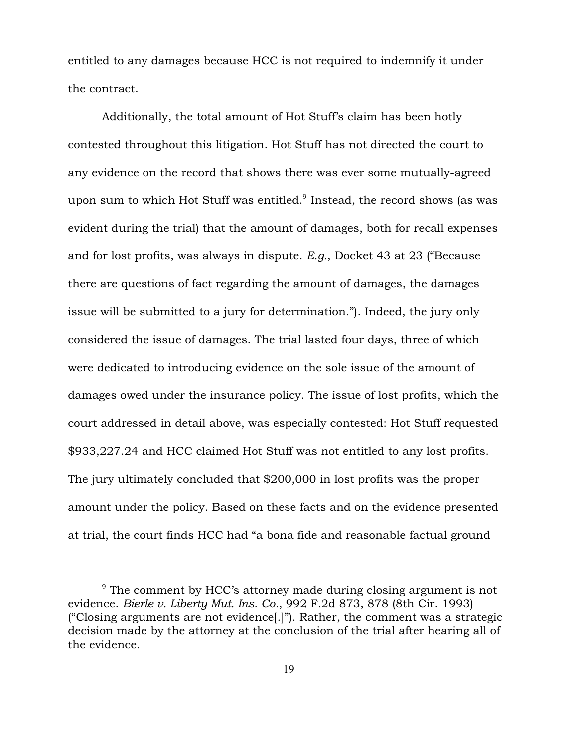entitled to any damages because HCC is not required to indemnify it under the contract.

Additionally, the total amount of Hot Stuff's claim has been hotly contested throughout this litigation. Hot Stuff has not directed the court to any evidence on the record that shows there was ever some mutually-agreed upon sum to which Hot Stuff was entitled. $9$  Instead, the record shows (as was evident during the trial) that the amount of damages, both for recall expenses and for lost profits, was always in dispute. *E.g.*, Docket 43 at 23 ("Because there are questions of fact regarding the amount of damages, the damages issue will be submitted to a jury for determination."). Indeed, the jury only considered the issue of damages. The trial lasted four days, three of which were dedicated to introducing evidence on the sole issue of the amount of damages owed under the insurance policy. The issue of lost profits, which the court addressed in detail above, was especially contested: Hot Stuff requested \$933,227.24 and HCC claimed Hot Stuff was not entitled to any lost profits. The jury ultimately concluded that \$200,000 in lost profits was the proper amount under the policy. Based on these facts and on the evidence presented at trial, the court finds HCC had "a bona fide and reasonable factual ground

 $\degree$  The comment by HCC's attorney made during closing argument is not evidence. *Bierle v. Liberty Mut. Ins. Co.*, 992 F.2d 873, 878 (8th Cir. 1993) ("Closing arguments are not evidence[.]"). Rather, the comment was a strategic decision made by the attorney at the conclusion of the trial after hearing all of the evidence.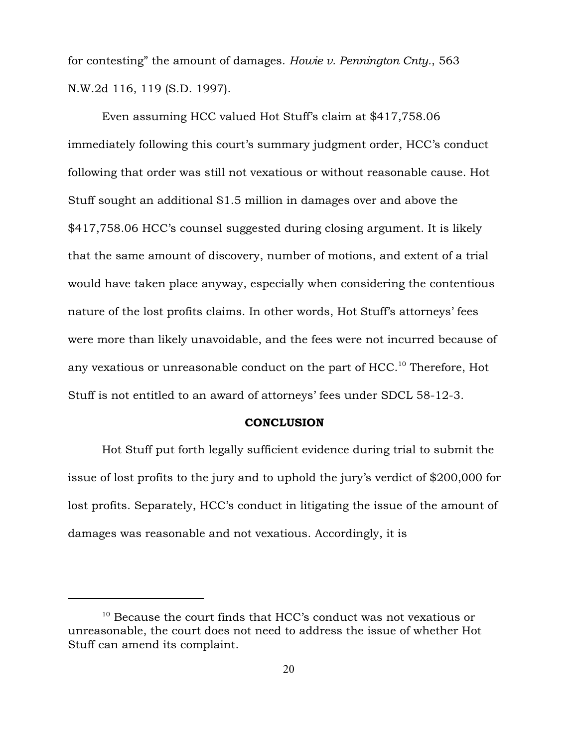for contesting" the amount of damages. *Howie v. Pennington Cnty.*, 563 N.W.2d 116, 119 (S.D. 1997).

Even assuming HCC valued Hot Stuff's claim at \$417,758.06 immediately following this court's summary judgment order, HCC's conduct following that order was still not vexatious or without reasonable cause. Hot Stuff sought an additional \$1.5 million in damages over and above the \$417,758.06 HCC's counsel suggested during closing argument. It is likely that the same amount of discovery, number of motions, and extent of a trial would have taken place anyway, especially when considering the contentious nature of the lost profits claims. In other words, Hot Stuff's attorneys' fees were more than likely unavoidable, and the fees were not incurred because of any vexatious or unreasonable conduct on the part of  $HCC$ .<sup>10</sup> Therefore, Hot Stuff is not entitled to an award of attorneys' fees under SDCL 58-12-3.

#### **CONCLUSION**

Hot Stuff put forth legally sufficient evidence during trial to submit the issue of lost profits to the jury and to uphold the jury's verdict of \$200,000 for lost profits. Separately, HCC's conduct in litigating the issue of the amount of damages was reasonable and not vexatious. Accordingly, it is

 $10$  Because the court finds that HCC's conduct was not vexatious or unreasonable, the court does not need to address the issue of whether Hot Stuff can amend its complaint.